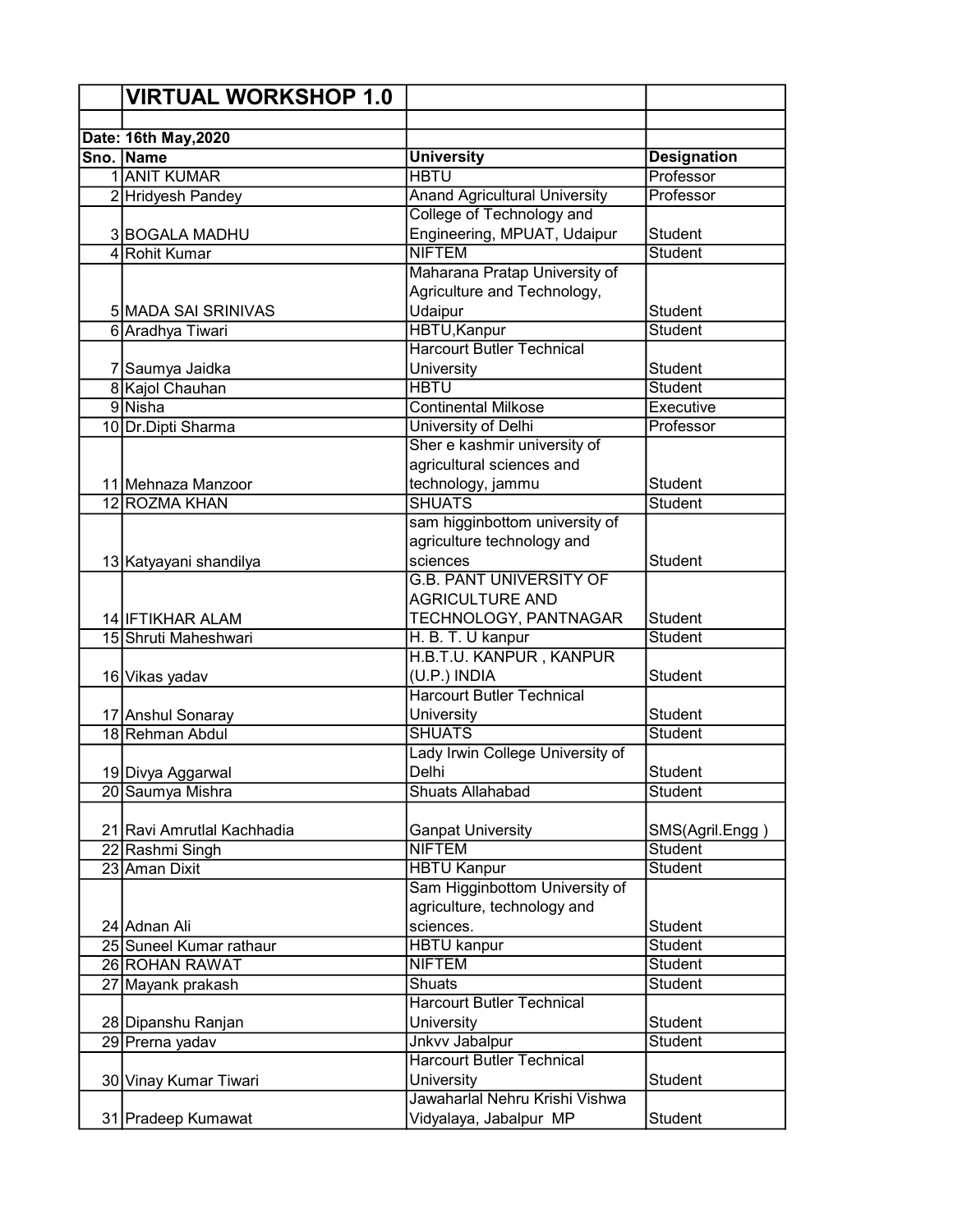| <b>VIRTUAL WORKSHOP 1.0</b> |                                                           |                    |
|-----------------------------|-----------------------------------------------------------|--------------------|
|                             |                                                           |                    |
| Date: 16th May, 2020        |                                                           |                    |
| Sno. Name                   | <b>University</b>                                         | <b>Designation</b> |
| 1 ANIT KUMAR                | <b>HBTU</b>                                               | Professor          |
| 2 Hridyesh Pandey           | <b>Anand Agricultural University</b>                      | Professor          |
|                             | College of Technology and                                 |                    |
| 3 BOGALA MADHU              | Engineering, MPUAT, Udaipur                               | <b>Student</b>     |
| 4 Rohit Kumar               | <b>NIFTEM</b>                                             | Student            |
|                             | Maharana Pratap University of                             |                    |
|                             | Agriculture and Technology,                               |                    |
| 5 MADA SAI SRINIVAS         | Udaipur                                                   | <b>Student</b>     |
| 6 Aradhya Tiwari            | <b>HBTU, Kanpur</b>                                       | Student            |
|                             | <b>Harcourt Butler Technical</b>                          |                    |
| 7 Saumya Jaidka             | University                                                | <b>Student</b>     |
| 8 Kajol Chauhan             | <b>HBTU</b>                                               | <b>Student</b>     |
| 9 Nisha                     | <b>Continental Milkose</b>                                | Executive          |
| 10 Dr.Dipti Sharma          | University of Delhi                                       | Professor          |
|                             | Sher e kashmir university of                              |                    |
|                             | agricultural sciences and                                 |                    |
| 11 Mehnaza Manzoor          | technology, jammu                                         | Student            |
| 12 ROZMA KHAN               | <b>SHUATS</b>                                             | <b>Student</b>     |
|                             | sam higginbottom university of                            |                    |
|                             | agriculture technology and                                |                    |
| 13 Katyayani shandilya      | sciences                                                  | <b>Student</b>     |
|                             | <b>G.B. PANT UNIVERSITY OF</b>                            |                    |
|                             | <b>AGRICULTURE AND</b>                                    |                    |
| 14 IFTIKHAR ALAM            | TECHNOLOGY, PANTNAGAR                                     | <b>Student</b>     |
| 15 Shruti Maheshwari        | H. B. T. U kanpur                                         | <b>Student</b>     |
|                             | H.B.T.U. KANPUR, KANPUR                                   |                    |
| 16 Vikas yadav              | (U.P.) INDIA                                              | <b>Student</b>     |
|                             | <b>Harcourt Butler Technical</b>                          |                    |
| 17 Anshul Sonaray           | University                                                | <b>Student</b>     |
| 18 Rehman Abdul             | <b>SHUATS</b>                                             | <b>Student</b>     |
|                             | Lady Irwin College University of                          |                    |
| 19 Divya Aggarwal           | Delhi                                                     | <b>Student</b>     |
| 20 Saumya Mishra            | <b>Shuats Allahabad</b>                                   | <b>Student</b>     |
|                             |                                                           |                    |
| 21 Ravi Amrutlal Kachhadia  | <b>Ganpat University</b>                                  | SMS(Agril.Engg)    |
| 22 Rashmi Singh             | <b>NIFTEM</b>                                             | Student            |
| 23 Aman Dixit               | <b>HBTU Kanpur</b>                                        | <b>Student</b>     |
|                             | Sam Higginbottom University of                            |                    |
|                             | agriculture, technology and                               |                    |
| 24 Adnan Ali                | sciences.                                                 | Student            |
| 25 Suneel Kumar rathaur     | <b>HBTU</b> kanpur                                        | Student            |
| 26 ROHAN RAWAT              | <b>NIFTEM</b>                                             | Student            |
| 27 Mayank prakash           | Shuats                                                    | Student            |
|                             | <b>Harcourt Butler Technical</b>                          |                    |
| 28 Dipanshu Ranjan          | University                                                | <b>Student</b>     |
| 29 Prerna yadav             | <b>Jnkvv Jabalpur</b><br><b>Harcourt Butler Technical</b> | Student            |
|                             |                                                           |                    |
| 30 Vinay Kumar Tiwari       | University<br>Jawaharlal Nehru Krishi Vishwa              | <b>Student</b>     |
|                             |                                                           |                    |
| 31 Pradeep Kumawat          | Vidyalaya, Jabalpur MP                                    | Student            |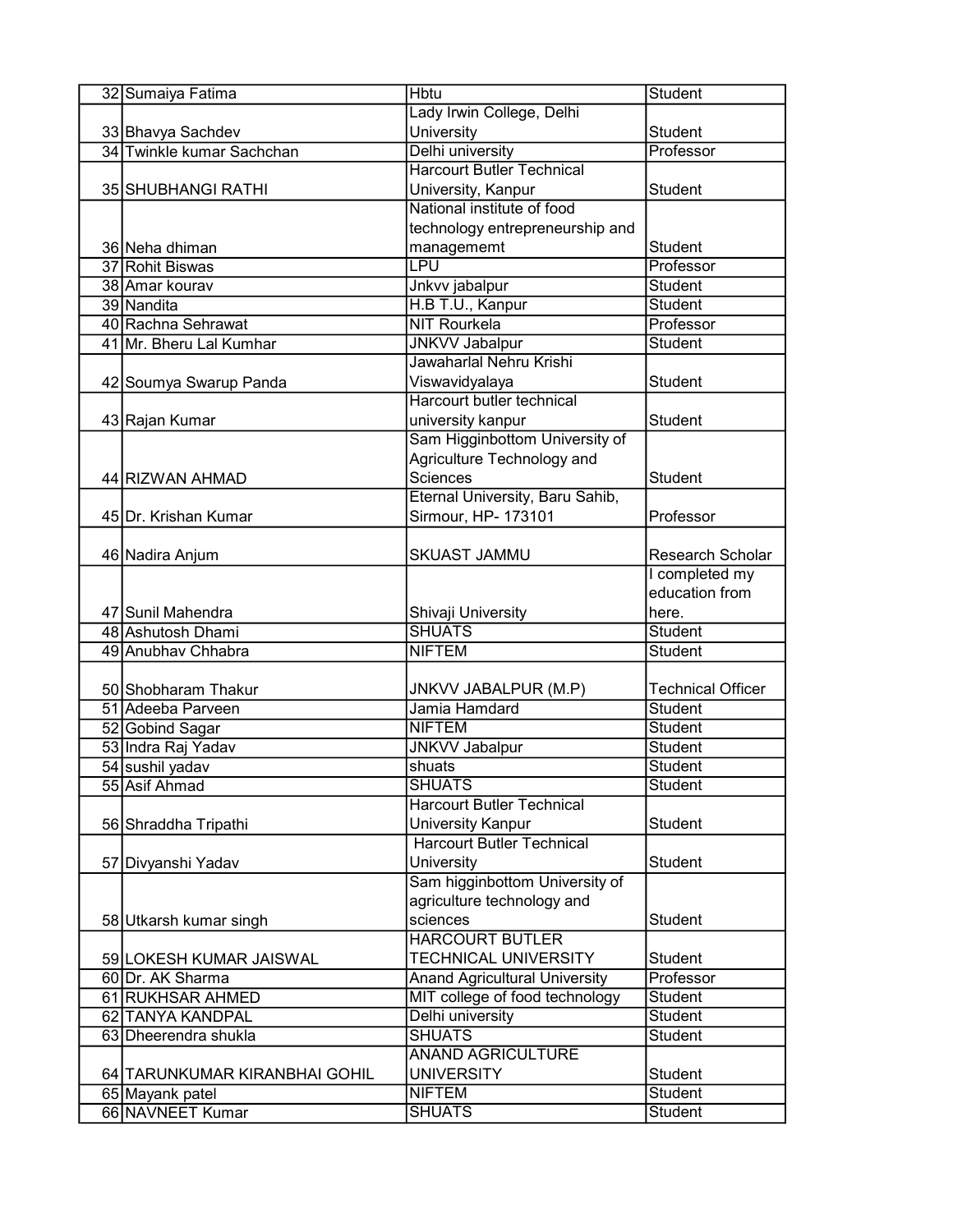| 32 Sumaiya Fatima             | <b>Hbtu</b>                          | <b>Student</b>           |
|-------------------------------|--------------------------------------|--------------------------|
|                               | Lady Irwin College, Delhi            |                          |
| 33 Bhavya Sachdev             | University                           | <b>Student</b>           |
| 34 Twinkle kumar Sachchan     | Delhi university                     | Professor                |
|                               | <b>Harcourt Butler Technical</b>     |                          |
| 35 SHUBHANGI RATHI            | University, Kanpur                   | <b>Student</b>           |
|                               | National institute of food           |                          |
|                               | technology entrepreneurship and      |                          |
| 36 Neha dhiman                | managememt                           | <b>Student</b>           |
| 37 Rohit Biswas               | LPU                                  | Professor                |
| 38 Amar kourav                | Jnkvv jabalpur                       | Student                  |
| 39 Nandita                    | H.B T.U., Kanpur                     | <b>Student</b>           |
| 40 Rachna Sehrawat            | <b>NIT Rourkela</b>                  | Professor                |
| 41 Mr. Bheru Lal Kumhar       | <b>JNKVV Jabalpur</b>                | Student                  |
|                               | Jawaharlal Nehru Krishi              |                          |
| 42 Soumya Swarup Panda        | Viswavidyalaya                       | <b>Student</b>           |
|                               | Harcourt butler technical            |                          |
| 43 Rajan Kumar                | university kanpur                    | <b>Student</b>           |
|                               | Sam Higginbottom University of       |                          |
|                               | Agriculture Technology and           |                          |
| 44 RIZWAN AHMAD               | Sciences                             | <b>Student</b>           |
|                               | Eternal University, Baru Sahib,      |                          |
| 45 Dr. Krishan Kumar          | Sirmour, HP- 173101                  | Professor                |
|                               |                                      |                          |
| 46 Nadira Anjum               | <b>SKUAST JAMMU</b>                  | Research Scholar         |
|                               |                                      | I completed my           |
|                               |                                      | education from           |
| 47 Sunil Mahendra             | Shivaji University                   | here.                    |
| 48 Ashutosh Dhami             | <b>SHUATS</b>                        | <b>Student</b>           |
| 49 Anubhav Chhabra            | <b>NIFTEM</b>                        | Student                  |
|                               |                                      |                          |
| 50 Shobharam Thakur           | <b>JNKVV JABALPUR (M.P)</b>          | <b>Technical Officer</b> |
| 51 Adeeba Parveen             | Jamia Hamdard                        | Student                  |
| 52 Gobind Sagar               | <b>NIFTEM</b>                        | Student                  |
| 53 Indra Raj Yadav            | <b>JNKVV Jabalpur</b>                | Student                  |
| 54 sushil yadav               | shuats                               | Student                  |
| 55 Asif Ahmad                 | <b>SHUATS</b>                        | Student                  |
|                               | <b>Harcourt Butler Technical</b>     |                          |
| 56 Shraddha Tripathi          | <b>University Kanpur</b>             | Student                  |
|                               | <b>Harcourt Butler Technical</b>     |                          |
| 57 Divyanshi Yadav            | University                           | <b>Student</b>           |
|                               | Sam higginbottom University of       |                          |
|                               | agriculture technology and           |                          |
| 58 Utkarsh kumar singh        | sciences                             | Student                  |
|                               | <b>HARCOURT BUTLER</b>               |                          |
| 59 LOKESH KUMAR JAISWAL       | <b>TECHNICAL UNIVERSITY</b>          | Student                  |
| 60 Dr. AK Sharma              | <b>Anand Agricultural University</b> | Professor                |
| 61 RUKHSAR AHMED              | MIT college of food technology       | <b>Student</b>           |
| 62 TANYA KANDPAL              | Delhi university                     | <b>Student</b>           |
| 63 Dheerendra shukla          | <b>SHUATS</b>                        | <b>Student</b>           |
|                               | <b>ANAND AGRICULTURE</b>             |                          |
| 64 TARUNKUMAR KIRANBHAI GOHIL | <b>UNIVERSITY</b>                    | Student                  |
| 65 Mayank patel               | <b>NIFTEM</b>                        | <b>Student</b>           |
| 66 NAVNEET Kumar              | <b>SHUATS</b>                        | <b>Student</b>           |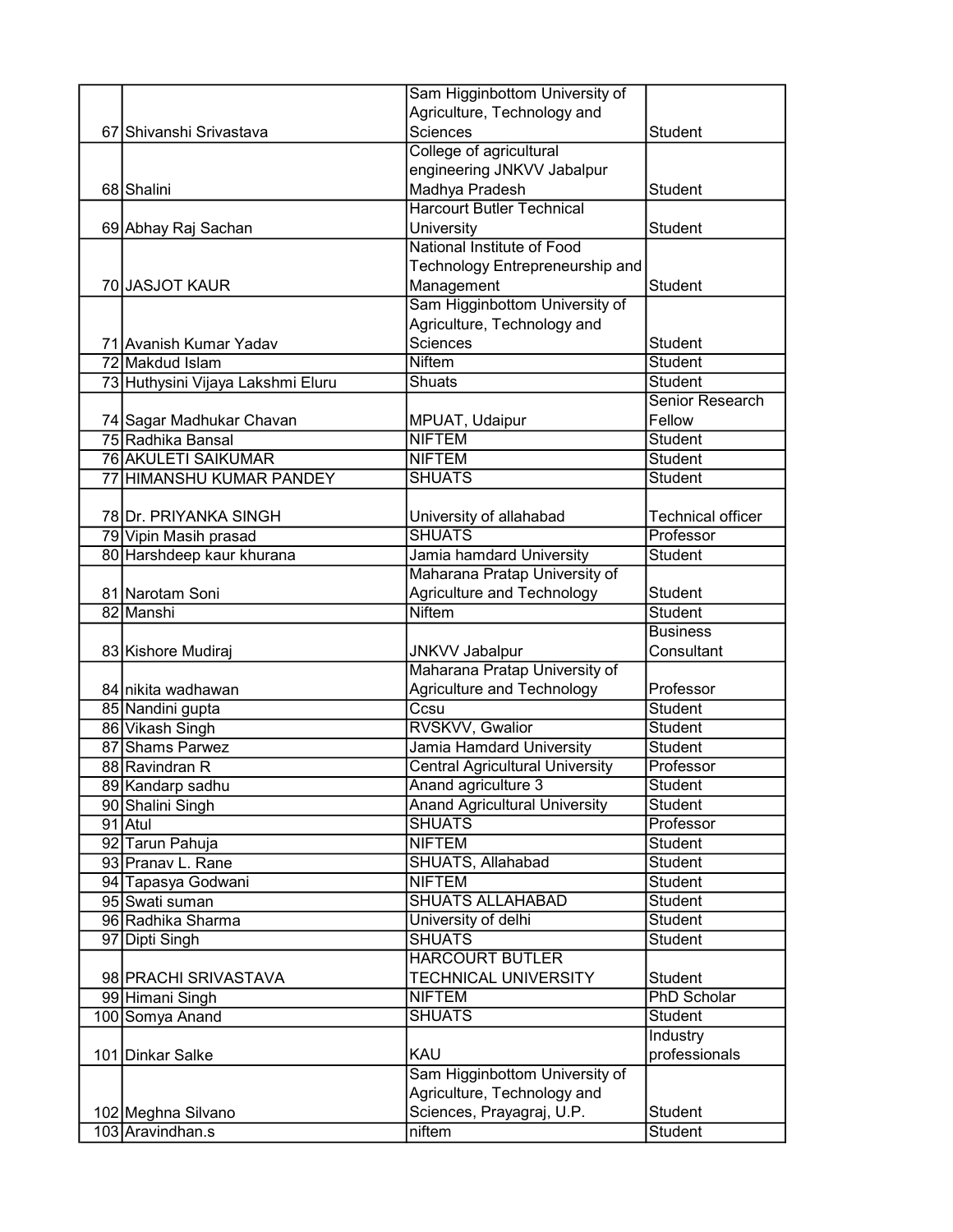|                                   | Sam Higginbottom University of         |                          |
|-----------------------------------|----------------------------------------|--------------------------|
|                                   | Agriculture, Technology and            |                          |
| 67 Shivanshi Srivastava           | Sciences                               | <b>Student</b>           |
|                                   | College of agricultural                |                          |
|                                   | engineering JNKVV Jabalpur             |                          |
| 68 Shalini                        | Madhya Pradesh                         | <b>Student</b>           |
|                                   | <b>Harcourt Butler Technical</b>       |                          |
| 69 Abhay Raj Sachan               | University                             | <b>Student</b>           |
|                                   | National Institute of Food             |                          |
|                                   | Technology Entrepreneurship and        |                          |
| 70 JASJOT KAUR                    | Management                             | Student                  |
|                                   | Sam Higginbottom University of         |                          |
|                                   | Agriculture, Technology and            |                          |
| 71 Avanish Kumar Yadav            | Sciences                               | Student                  |
| 72 Makdud Islam                   | <b>Niftem</b>                          | Student                  |
| 73 Huthysini Vijaya Lakshmi Eluru | Shuats                                 | <b>Student</b>           |
|                                   |                                        | Senior Research          |
| 74 Sagar Madhukar Chavan          | MPUAT, Udaipur                         | Fellow                   |
| 75 Radhika Bansal                 | <b>NIFTEM</b>                          | <b>Student</b>           |
| 76 AKULETI SAIKUMAR               | <b>NIFTEM</b>                          | <b>Student</b>           |
| 77 HIMANSHU KUMAR PANDEY          | <b>SHUATS</b>                          | <b>Student</b>           |
|                                   |                                        |                          |
| 78 Dr. PRIYANKA SINGH             | University of allahabad                | <b>Technical officer</b> |
| 79 Vipin Masih prasad             | <b>SHUATS</b>                          | Professor                |
| 80 Harshdeep kaur khurana         | Jamia hamdard University               | <b>Student</b>           |
|                                   | Maharana Pratap University of          |                          |
| 81 Narotam Soni                   | Agriculture and Technology             | <b>Student</b>           |
| 82 Manshi                         | <b>Niftem</b>                          | Student                  |
|                                   |                                        | <b>Business</b>          |
| 83 Kishore Mudiraj                | <b>JNKVV Jabalpur</b>                  | Consultant               |
|                                   | Maharana Pratap University of          |                          |
| 84 nikita wadhawan                | Agriculture and Technology             | Professor                |
| 85 Nandini gupta                  | Ccsu                                   | <b>Student</b>           |
| 86 Vikash Singh                   | RVSKVV, Gwalior                        | Student                  |
| 87 Shams Parwez                   | Jamia Hamdard University               | Student                  |
| 88 Ravindran R                    | <b>Central Agricultural University</b> | Professor                |
| 89 Kandarp sadhu                  | Anand agriculture 3                    | Student                  |
| 90 Shalini Singh                  | <b>Anand Agricultural University</b>   | Student                  |
| 91 Atul                           | <b>SHUATS</b>                          | Professor                |
| 92 Tarun Pahuja                   | <b>NIFTEM</b>                          | Student                  |
| 93 Pranav L. Rane                 | SHUATS, Allahabad                      | Student                  |
| 94 Tapasya Godwani                | <b>NIFTEM</b>                          | Student                  |
| 95 Swati suman                    | <b>SHUATS ALLAHABAD</b>                | Student                  |
| 96 Radhika Sharma                 | University of delhi                    | Student                  |
| 97 Dipti Singh                    | <b>SHUATS</b>                          | Student                  |
|                                   | <b>HARCOURT BUTLER</b>                 |                          |
| 98 PRACHI SRIVASTAVA              | <b>TECHNICAL UNIVERSITY</b>            | Student                  |
| 99 Himani Singh                   | <b>NIFTEM</b>                          | <b>PhD Scholar</b>       |
| 100 Somya Anand                   | <b>SHUATS</b>                          | Student                  |
|                                   |                                        | Industry                 |
| 101 Dinkar Salke                  | KAU                                    | professionals            |
|                                   | Sam Higginbottom University of         |                          |
|                                   | Agriculture, Technology and            |                          |
| 102 Meghna Silvano                | Sciences, Prayagraj, U.P.              | <b>Student</b>           |
| 103 Aravindhan.s                  | niftem                                 | <b>Student</b>           |
|                                   |                                        |                          |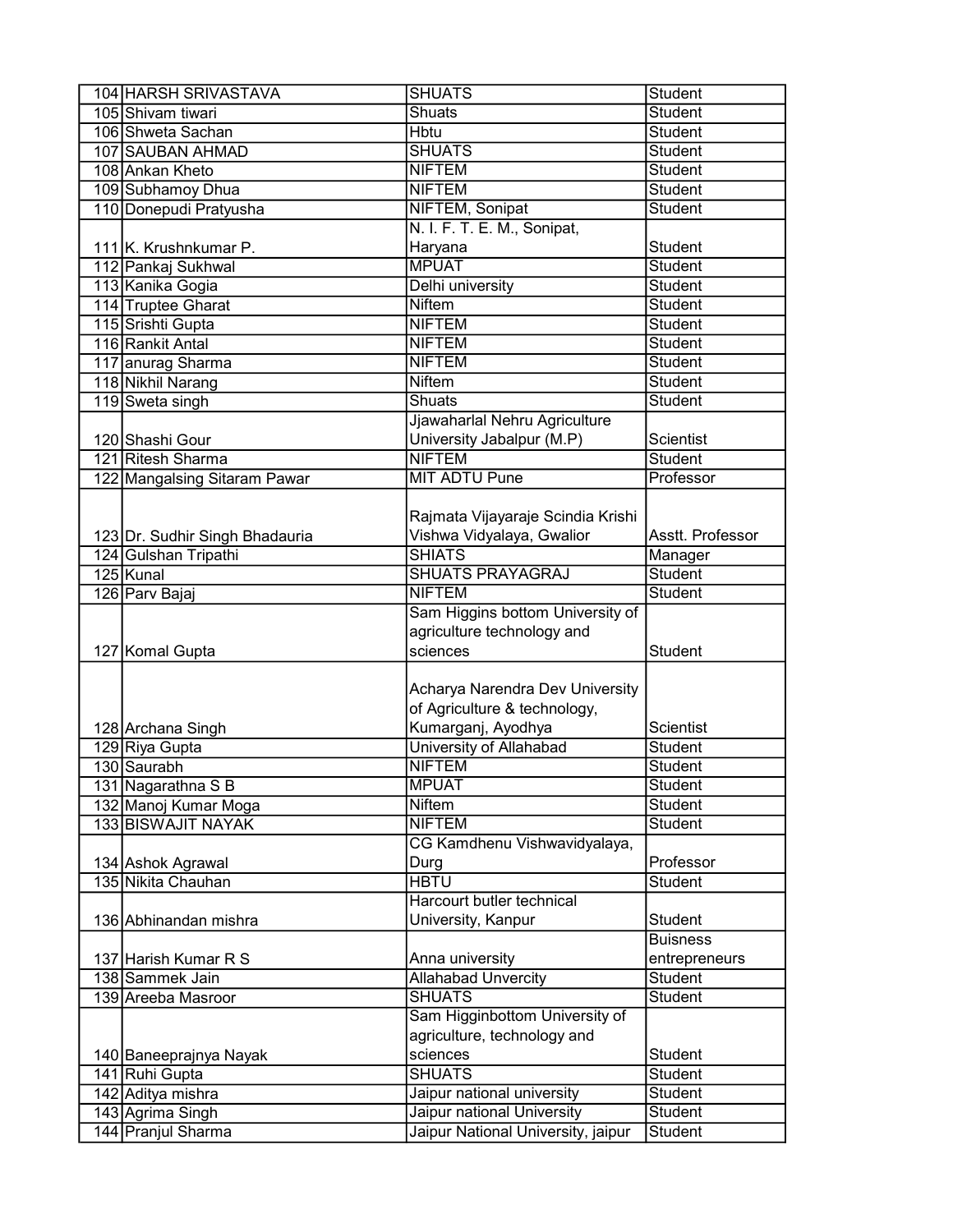| 104 HARSH SRIVASTAVA           | <b>SHUATS</b>                      | <b>Student</b>   |
|--------------------------------|------------------------------------|------------------|
| 105 Shivam tiwari              | <b>Shuats</b>                      | Student          |
| 106 Shweta Sachan              | <b>Hbtu</b>                        | <b>Student</b>   |
| 107 SAUBAN AHMAD               | <b>SHUATS</b>                      | <b>Student</b>   |
| 108 Ankan Kheto                | <b>NIFTEM</b>                      | <b>Student</b>   |
| 109 Subhamoy Dhua              | <b>NIFTEM</b>                      | Student          |
| 110 Donepudi Pratyusha         | NIFTEM, Sonipat                    | Student          |
|                                | N. I. F. T. E. M., Sonipat,        |                  |
| 111 K. Krushnkumar P.          | Haryana                            | Student          |
| 112 Pankaj Sukhwal             | <b>MPUAT</b>                       | Student          |
| 113 Kanika Gogia               | Delhi university                   | <b>Student</b>   |
| 114 Truptee Gharat             | <b>Niftem</b>                      | <b>Student</b>   |
| 115 Srishti Gupta              | <b>NIFTEM</b>                      | Student          |
| 116 Rankit Antal               | <b>NIFTEM</b>                      | Student          |
| 117 anurag Sharma              | <b>NIFTEM</b>                      | Student          |
| 118 Nikhil Narang              | <b>Niftem</b>                      | Student          |
| 119 Sweta singh                | Shuats                             | Student          |
|                                | Jjawaharlal Nehru Agriculture      |                  |
| 120 Shashi Gour                | University Jabalpur (M.P)          | Scientist        |
| 121 Ritesh Sharma              | <b>NIFTEM</b>                      | <b>Student</b>   |
| 122 Mangalsing Sitaram Pawar   | <b>MIT ADTU Pune</b>               | Professor        |
|                                |                                    |                  |
|                                | Rajmata Vijayaraje Scindia Krishi  |                  |
| 123 Dr. Sudhir Singh Bhadauria | Vishwa Vidyalaya, Gwalior          | Asstt. Professor |
| 124 Gulshan Tripathi           | <b>SHIATS</b>                      | Manager          |
| 125 Kunal                      | <b>SHUATS PRAYAGRAJ</b>            | <b>Student</b>   |
| 126 Parv Bajaj                 | <b>NIFTEM</b>                      | Student          |
|                                | Sam Higgins bottom University of   |                  |
|                                | agriculture technology and         |                  |
|                                | sciences                           | <b>Student</b>   |
| 127 Komal Gupta                |                                    |                  |
|                                |                                    |                  |
|                                | Acharya Narendra Dev University    |                  |
|                                | of Agriculture & technology,       |                  |
| 128 Archana Singh              | Kumarganj, Ayodhya                 | Scientist        |
| 129 Riya Gupta                 | University of Allahabad            | <b>Student</b>   |
| 130 Saurabh                    | <b>NIFTEM</b>                      | Student          |
| 131 Nagarathna S B             | <b>MPUAT</b>                       | Student          |
| 132 Manoj Kumar Moga           | Niftem                             | Student          |
| 133 BISWAJIT NAYAK             | <b>NIFTEM</b>                      | Student          |
|                                | CG Kamdhenu Vishwavidyalaya,       |                  |
| 134 Ashok Agrawal              | Durg                               | Professor        |
| 135 Nikita Chauhan             | <b>HBTU</b>                        | Student          |
|                                | Harcourt butler technical          |                  |
| 136 Abhinandan mishra          | University, Kanpur                 | Student          |
|                                |                                    | <b>Buisness</b>  |
| 137 Harish Kumar R S           | Anna university                    | entrepreneurs    |
| 138 Sammek Jain                | <b>Allahabad Unvercity</b>         | Student          |
| 139 Areeba Masroor             | <b>SHUATS</b>                      | <b>Student</b>   |
|                                | Sam Higginbottom University of     |                  |
|                                | agriculture, technology and        |                  |
| 140 Baneeprajnya Nayak         | sciences                           | Student          |
| 141 Ruhi Gupta                 | <b>SHUATS</b>                      | <b>Student</b>   |
| 142 Aditya mishra              | Jaipur national university         | <b>Student</b>   |
| 143 Agrima Singh               | Jaipur national University         | <b>Student</b>   |
| 144 Pranjul Sharma             | Jaipur National University, jaipur | Student          |
|                                |                                    |                  |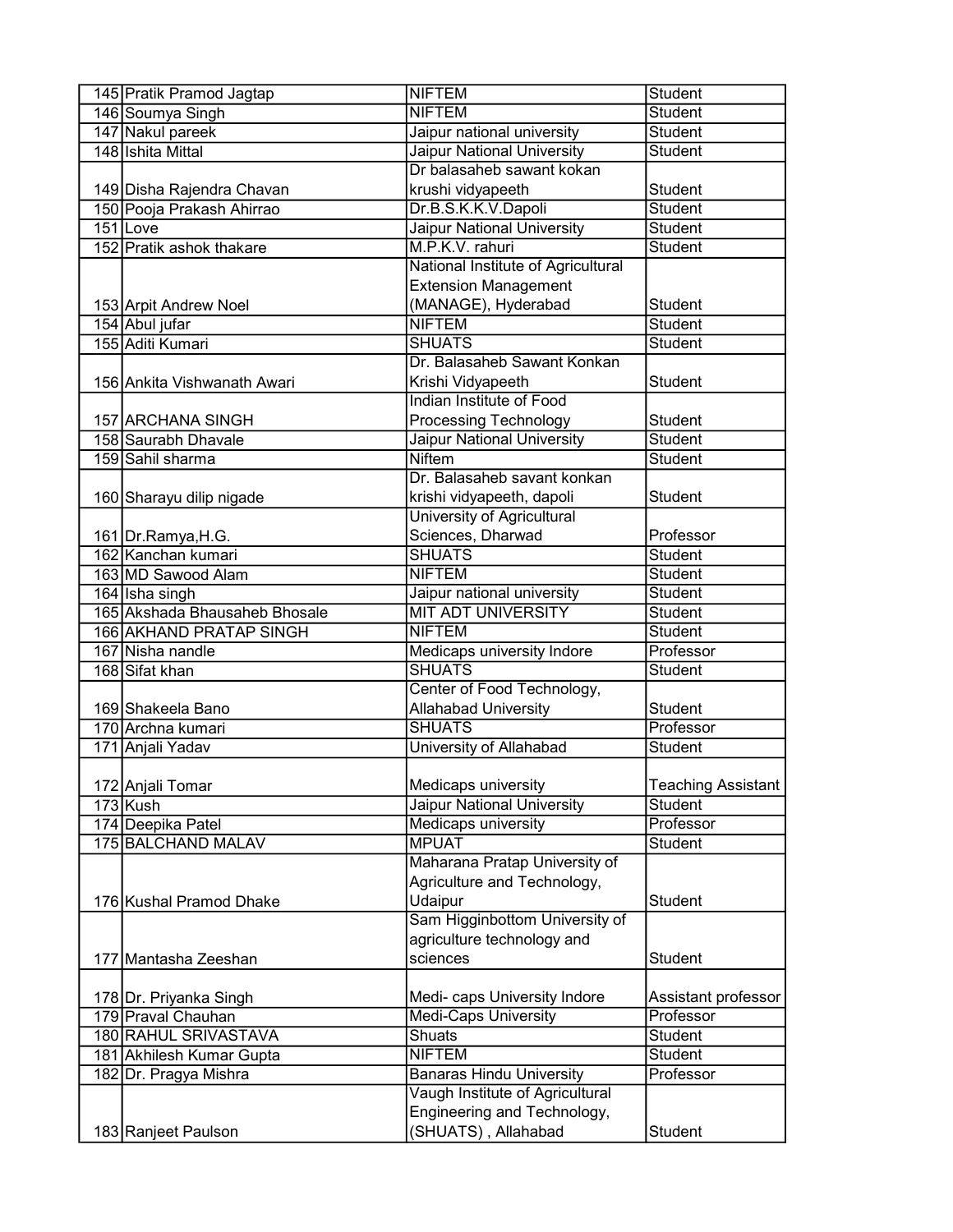| 145 Pratik Pramod Jagtap      | <b>NIFTEM</b>                      | <b>Student</b>            |
|-------------------------------|------------------------------------|---------------------------|
| 146 Soumya Singh              | <b>NIFTEM</b>                      | <b>Student</b>            |
| 147 Nakul pareek              | Jaipur national university         | <b>Student</b>            |
| 148 Ishita Mittal             | <b>Jaipur National University</b>  | <b>Student</b>            |
|                               | Dr balasaheb sawant kokan          |                           |
| 149 Disha Rajendra Chavan     | krushi vidyapeeth                  | <b>Student</b>            |
| 150 Pooja Prakash Ahirrao     | Dr.B.S.K.K.V.Dapoli                | <b>Student</b>            |
| $151$ Love                    | <b>Jaipur National University</b>  | <b>Student</b>            |
| 152 Pratik ashok thakare      | M.P.K.V. rahuri                    | <b>Student</b>            |
|                               | National Institute of Agricultural |                           |
|                               | <b>Extension Management</b>        |                           |
| 153 Arpit Andrew Noel         | (MANAGE), Hyderabad                | Student                   |
| 154 Abul jufar                | <b>NIFTEM</b>                      | Student                   |
| 155 Aditi Kumari              | <b>SHUATS</b>                      | Student                   |
|                               | Dr. Balasaheb Sawant Konkan        |                           |
| 156 Ankita Vishwanath Awari   | Krishi Vidyapeeth                  | <b>Student</b>            |
|                               | Indian Institute of Food           |                           |
| 157 ARCHANA SINGH             | Processing Technology              | Student                   |
| 158 Saurabh Dhavale           | <b>Jaipur National University</b>  | Student                   |
| 159 Sahil sharma              | <b>Niftem</b>                      | <b>Student</b>            |
|                               | Dr. Balasaheb savant konkan        |                           |
| 160 Sharayu dilip nigade      | krishi vidyapeeth, dapoli          | <b>Student</b>            |
|                               | University of Agricultural         |                           |
| 161 Dr.Ramya, H.G.            | Sciences, Dharwad                  | Professor                 |
| 162 Kanchan kumari            | <b>SHUATS</b>                      | <b>Student</b>            |
| 163 MD Sawood Alam            | <b>NIFTEM</b>                      | <b>Student</b>            |
| 164 Isha singh                | Jaipur national university         | <b>Student</b>            |
| 165 Akshada Bhausaheb Bhosale | <b>MIT ADT UNIVERSITY</b>          | <b>Student</b>            |
| 166 AKHAND PRATAP SINGH       | <b>NIFTEM</b>                      | <b>Student</b>            |
| 167 Nisha nandle              | <b>Medicaps university Indore</b>  | Professor                 |
| 168 Sifat khan                | <b>SHUATS</b>                      | Student                   |
|                               | Center of Food Technology,         |                           |
| 169 Shakeela Bano             | Allahabad University               | Student                   |
| 170 Archna kumari             | <b>SHUATS</b>                      | Professor                 |
| 171 Anjali Yadav              | University of Allahabad            | Student                   |
|                               |                                    |                           |
| 172 Anjali Tomar              | Medicaps university                | <b>Teaching Assistant</b> |
| 173 Kush                      | Jaipur National University         | Student                   |
| 174 Deepika Patel             | Medicaps university                | Professor                 |
| 175 BALCHAND MALAV            | <b>MPUAT</b>                       | Student                   |
|                               | Maharana Pratap University of      |                           |
|                               | Agriculture and Technology,        |                           |
| 176 Kushal Pramod Dhake       | Udaipur                            | Student                   |
|                               | Sam Higginbottom University of     |                           |
|                               | agriculture technology and         |                           |
| 177 Mantasha Zeeshan          | sciences                           | Student                   |
|                               |                                    |                           |
| 178 Dr. Priyanka Singh        | Medi- caps University Indore       | Assistant professor       |
| 179 Praval Chauhan            | <b>Medi-Caps University</b>        | Professor                 |
| 180 RAHUL SRIVASTAVA          | <b>Shuats</b>                      | <b>Student</b>            |
| 181 Akhilesh Kumar Gupta      | <b>NIFTEM</b>                      | <b>Student</b>            |
| 182 Dr. Pragya Mishra         | <b>Banaras Hindu University</b>    | Professor                 |
|                               | Vaugh Institute of Agricultural    |                           |
|                               | Engineering and Technology,        |                           |
| 183 Ranjeet Paulson           | (SHUATS), Allahabad                | Student                   |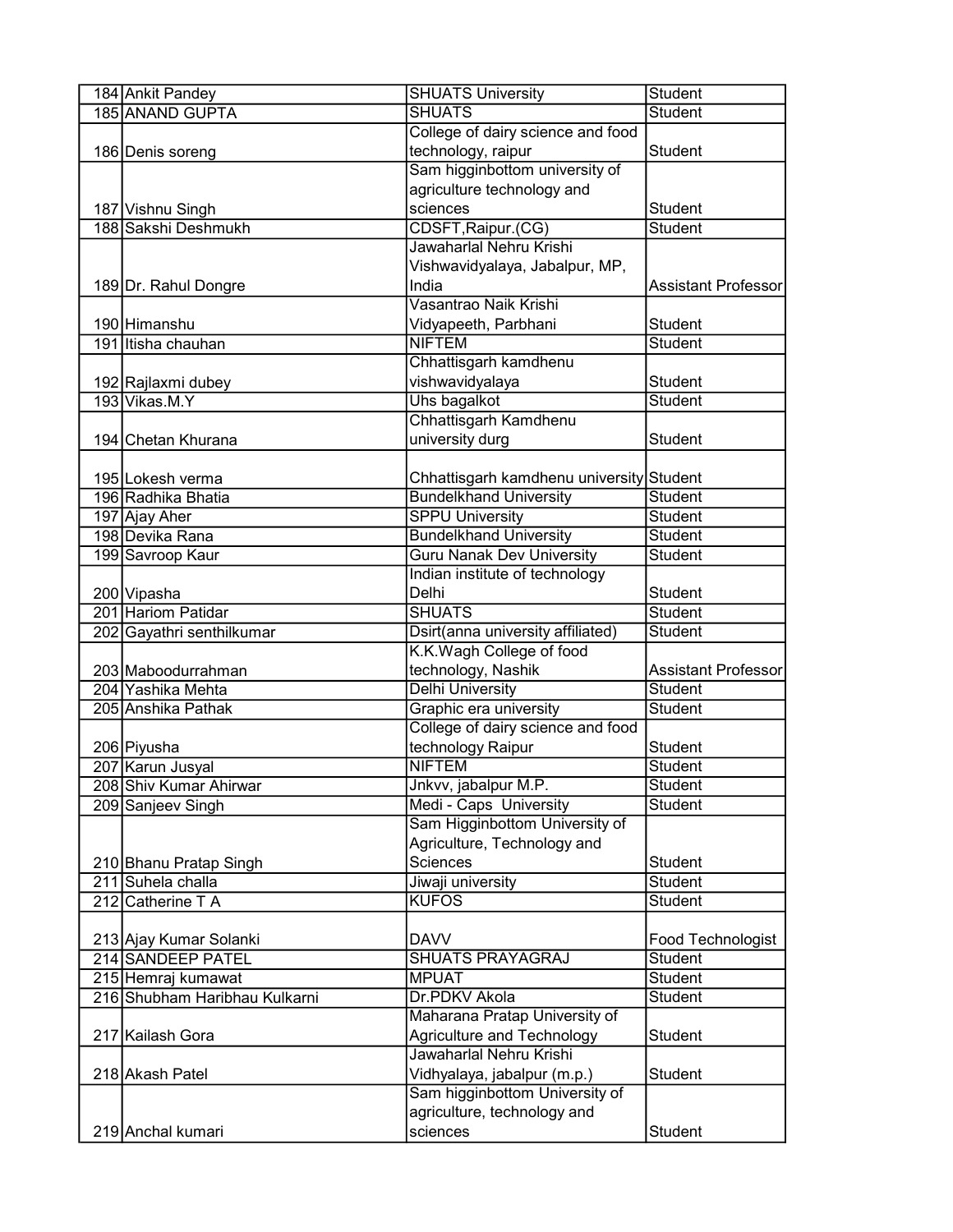| 184 Ankit Pandey                        | <b>SHUATS University</b>                          | Student                    |
|-----------------------------------------|---------------------------------------------------|----------------------------|
| 185 ANAND GUPTA                         | <b>SHUATS</b>                                     | <b>Student</b>             |
|                                         | College of dairy science and food                 |                            |
| 186 Denis soreng                        | technology, raipur                                | <b>Student</b>             |
|                                         | Sam higginbottom university of                    |                            |
|                                         | agriculture technology and                        |                            |
| 187 Vishnu Singh                        | sciences                                          | Student                    |
| 188 Sakshi Deshmukh                     | CDSFT, Raipur.(CG)                                | <b>Student</b>             |
|                                         | Jawaharlal Nehru Krishi                           |                            |
|                                         | Vishwavidyalaya, Jabalpur, MP,                    |                            |
| 189 Dr. Rahul Dongre                    | India                                             | <b>Assistant Professor</b> |
|                                         | Vasantrao Naik Krishi                             |                            |
| 190 Himanshu                            | Vidyapeeth, Parbhani                              | Student                    |
| 191 Itisha chauhan                      | <b>NIFTEM</b>                                     | Student                    |
|                                         | Chhattisgarh kamdhenu                             |                            |
| 192 Rajlaxmi dubey                      | vishwavidyalaya                                   | Student                    |
| 193 Vikas.M.Y                           | Uhs bagalkot                                      | Student                    |
|                                         | Chhattisgarh Kamdhenu                             |                            |
| 194 Chetan Khurana                      | university durg                                   | Student                    |
|                                         |                                                   |                            |
| 195 Lokesh verma                        | Chhattisgarh kamdhenu university Student          |                            |
| 196 Radhika Bhatia                      | <b>Bundelkhand University</b>                     | <b>Student</b>             |
| 197 Ajay Aher                           | <b>SPPU University</b>                            | <b>Student</b>             |
| 198 Devika Rana                         | <b>Bundelkhand University</b>                     | <b>Student</b>             |
| 199 Savroop Kaur                        | <b>Guru Nanak Dev University</b>                  | <b>Student</b>             |
|                                         | Indian institute of technology                    |                            |
|                                         | Delhi                                             | Student                    |
| 200 Vipasha<br>201 Hariom Patidar       | <b>SHUATS</b>                                     | Student                    |
|                                         | Dsirt(anna university affiliated)                 | <b>Student</b>             |
| 202 Gayathri senthilkumar               | K.K.Wagh College of food                          |                            |
|                                         |                                                   | <b>Assistant Professor</b> |
| 203 Maboodurrahman<br>204 Yashika Mehta | technology, Nashik                                | Student                    |
|                                         | <b>Delhi University</b><br>Graphic era university |                            |
| 205 Anshika Pathak                      |                                                   | Student                    |
|                                         | College of dairy science and food                 |                            |
| 206 Piyusha                             | technology Raipur                                 | Student                    |
| 207 Karun Jusyal                        | <b>NIFTEM</b>                                     | <b>Student</b>             |
| 208 Shiv Kumar Ahirwar                  | Jnkvv, jabalpur M.P.                              | Student                    |
| 209 Sanjeev Singh                       | Medi - Caps University                            | Student                    |
|                                         | Sam Higginbottom University of                    |                            |
|                                         | Agriculture, Technology and                       |                            |
| 210 Bhanu Pratap Singh                  | Sciences                                          | Student                    |
| 211 Suhela challa                       | Jiwaji university                                 | Student                    |
| 212 Catherine T A                       | <b>KUFOS</b>                                      | Student                    |
|                                         |                                                   |                            |
| 213 Ajay Kumar Solanki                  | <b>DAVV</b>                                       | Food Technologist          |
| 214 SANDEEP PATEL                       | <b>SHUATS PRAYAGRAJ</b>                           | Student                    |
| 215 Hemraj kumawat                      | <b>MPUAT</b>                                      | <b>Student</b>             |
| 216 Shubham Haribhau Kulkarni           | Dr.PDKV Akola                                     | Student                    |
|                                         | Maharana Pratap University of                     |                            |
| 217 Kailash Gora                        | <b>Agriculture and Technology</b>                 | Student                    |
|                                         | Jawaharlal Nehru Krishi                           |                            |
| 218 Akash Patel                         | Vidhyalaya, jabalpur (m.p.)                       | Student                    |
|                                         | Sam higginbottom University of                    |                            |
|                                         | agriculture, technology and                       |                            |
| 219 Anchal kumari                       | sciences                                          | Student                    |